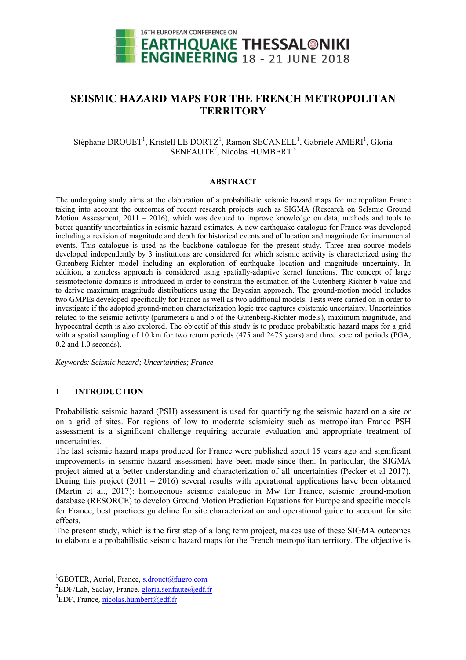

# **SEISMIC HAZARD MAPS FOR THE FRENCH METROPOLITAN TERRITORY**

# Stéphane DROUET<sup>1</sup>, Kristell LE DORTZ<sup>1</sup>, Ramon SECANELL<sup>1</sup>, Gabriele AMERI<sup>1</sup>, Gloria SENFAUTE<sup>2</sup>, Nicolas HUMBERT<sup>3</sup>

# **ABSTRACT**

The undergoing study aims at the elaboration of a probabilistic seismic hazard maps for metropolitan France taking into account the outcomes of recent research projects such as SIGMA (Research on SeIsmic Ground Motion Assessment, 2011 – 2016), which was devoted to improve knowledge on data, methods and tools to better quantify uncertainties in seismic hazard estimates. A new earthquake catalogue for France was developed including a revision of magnitude and depth for historical events and of location and magnitude for instrumental events. This catalogue is used as the backbone catalogue for the present study. Three area source models developed independently by 3 institutions are considered for which seismic activity is characterized using the Gutenberg-Richter model including an exploration of earthquake location and magnitude uncertainty. In addition, a zoneless approach is considered using spatially-adaptive kernel functions. The concept of large seismotectonic domains is introduced in order to constrain the estimation of the Gutenberg-Richter b-value and to derive maximum magnitude distributions using the Bayesian approach. The ground-motion model includes two GMPEs developed specifically for France as well as two additional models. Tests were carried on in order to investigate if the adopted ground-motion characterization logic tree captures epistemic uncertainty. Uncertainties related to the seismic activity (parameters a and b of the Gutenberg-Richter models), maximum magnitude, and hypocentral depth is also explored. The objectif of this study is to produce probabilistic hazard maps for a grid with a spatial sampling of 10 km for two return periods (475 and 2475 years) and three spectral periods (PGA, 0.2 and 1.0 seconds).

*Keywords: Seismic hazard; Uncertainties; France* 

# **1 INTRODUCTION**

Probabilistic seismic hazard (PSH) assessment is used for quantifying the seismic hazard on a site or on a grid of sites. For regions of low to moderate seismicity such as metropolitan France PSH assessment is a significant challenge requiring accurate evaluation and appropriate treatment of uncertainties.

The last seismic hazard maps produced for France were published about 15 years ago and significant improvements in seismic hazard assessment have been made since then. In particular, the SIGMA project aimed at a better understanding and characterization of all uncertainties (Pecker et al 2017). During this project  $(2011 - 2016)$  several results with operational applications have been obtained (Martin et al., 2017): homogenous seismic catalogue in Mw for France, seismic ground-motion database (RESORCE) to develop Ground Motion Prediction Equations for Europe and specific models for France, best practices guideline for site characterization and operational guide to account for site effects.

The present study, which is the first step of a long term project, makes use of these SIGMA outcomes to elaborate a probabilistic seismic hazard maps for the French metropolitan territory. The objective is

 $\overline{\phantom{a}}$ 

<sup>&</sup>lt;sup>1</sup>GEOTER, Auriol, France, <u>s.drouet@fugro.com</u><br><sup>2</sup>EDE/Leh. Seeley, France, alorie senfoute@edf.t

<sup>&</sup>lt;sup>2</sup>EDF/Lab, Saclay, France, gloria.senfaute@edf.fr

 ${}^{3}$ EDF, France, nicolas.humbert@edf.fr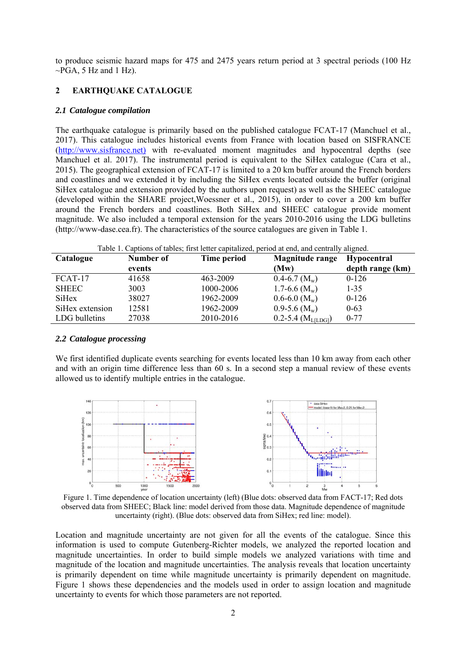to produce seismic hazard maps for 475 and 2475 years return period at 3 spectral periods (100 Hz  $\sim$ PGA, 5 Hz and 1 Hz).

# **2 EARTHQUAKE CATALOGUE**

#### *2.1 Catalogue compilation*

The earthquake catalogue is primarily based on the published catalogue FCAT-17 (Manchuel et al., 2017). This catalogue includes historical events from France with location based on SISFRANCE (http://www.sisfrance.net) with re-evaluated moment magnitudes and hypocentral depths (see Manchuel et al. 2017). The instrumental period is equivalent to the SiHex catalogue (Cara et al., 2015). The geographical extension of FCAT-17 is limited to a 20 km buffer around the French borders and coastlines and we extended it by including the SiHex events located outside the buffer (original SiHex catalogue and extension provided by the authors upon request) as well as the SHEEC catalogue (developed within the SHARE project,Woessner et al., 2015), in order to cover a 200 km buffer around the French borders and coastlines. Both SiHex and SHEEC catalogue provide moment magnitude. We also included a temporal extension for the years 2010-2016 using the LDG bulletins (http://www-dase.cea.fr). The characteristics of the source catalogues are given in Table 1.

| Table 1. Captions of tables; first letter capitalized, period at end, and centrally aligned. |           |                    |                                    |                    |
|----------------------------------------------------------------------------------------------|-----------|--------------------|------------------------------------|--------------------|
| Catalogue                                                                                    | Number of | <b>Time period</b> | <b>Magnitude range</b>             | <b>Hypocentral</b> |
|                                                                                              | events    |                    | (Mw)                               | depth range (km)   |
| $FCAT-17$                                                                                    | 41658     | 463-2009           | $0.4 - 6.7$ (M <sub>w</sub> )      | $0-126$            |
| <b>SHEEC</b>                                                                                 | 3003      | 1000-2006          | 1.7-6.6 $(M_w)$                    | $1 - 35$           |
| <b>SiHex</b>                                                                                 | 38027     | 1962-2009          | $0.6 - 6.0$ (M <sub>w</sub> )      | $0-126$            |
| SiHex extension                                                                              | 12581     | 1962-2009          | $0.9-5.6$ (M <sub>w</sub> )        | $0 - 63$           |
| LDG bulletins                                                                                | 27038     | 2010-2016          | $0.2 - 5.4$ (M <sub>L[LDG]</sub> ) | $0 - 77$           |

#### *2.2 Catalogue processing*

We first identified duplicate events searching for events located less than 10 km away from each other and with an origin time difference less than 60 s. In a second step a manual review of these events allowed us to identify multiple entries in the catalogue.



Figure 1. Time dependence of location uncertainty (left) (Blue dots: observed data from FACT-17; Red dots observed data from SHEEC; Black line: model derived from those data. Magnitude dependence of magnitude uncertainty (right). (Blue dots: observed data from SiHex; red line: model).

Location and magnitude uncertainty are not given for all the events of the catalogue. Since this information is used to compute Gutenberg-Richter models, we analyzed the reported location and magnitude uncertainties. In order to build simple models we analyzed variations with time and magnitude of the location and magnitude uncertainties. The analysis reveals that location uncertainty is primarily dependent on time while magnitude uncertainty is primarily dependent on magnitude. Figure 1 shows these dependencies and the models used in order to assign location and magnitude uncertainty to events for which those parameters are not reported.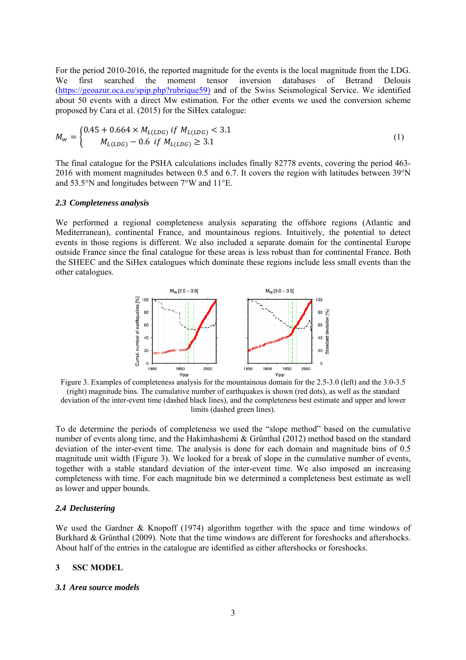For the period 2010-2016, the reported magnitude for the events is the local magnitude from the LDG. We first searched the moment tensor inversion databases of Betrand Delouis (https://geoazur.oca.eu/spip.php?rubrique59) and of the Swiss Seismological Service. We identified about 50 events with a direct Mw estimation. For the other events we used the conversion scheme proposed by Cara et al. (2015) for the SiHex catalogue:

$$
M_{w} = \begin{cases} 0.45 + 0.664 \times M_{L(LDG)} \text{ if } M_{L(LDG)} < 3.1\\ M_{L(LDG)} - 0.6 \text{ if } M_{L(LDG)} \geq 3.1 \end{cases} \tag{1}
$$

The final catalogue for the PSHA calculations includes finally 82778 events, covering the period 463- 2016 with moment magnitudes between 0.5 and 6.7. It covers the region with latitudes between 39°N and 53.5°N and longitudes between 7°W and 11°E.

### *2.3 Completeness analysis*

We performed a regional completeness analysis separating the offshore regions (Atlantic and Mediterranean), continental France, and mountainous regions. Intuitively, the potential to detect events in those regions is different. We also included a separate domain for the continental Europe outside France since the final catalogue for these areas is less robust than for continental France. Both the SHEEC and the SiHex catalogues which dominate these regions include less small events than the other catalogues.



Figure 3. Examples of completeness analysis for the mountainous domain for the 2.5-3.0 (left) and the 3.0-3.5 (right) magnitude bins. The cumulative number of earthquakes is shown (red dots), as well as the standard deviation of the inter-event time (dashed black lines), and the completeness best estimate and upper and lower limits (dashed green lines).

To de determine the periods of completeness we used the "slope method" based on the cumulative number of events along time, and the Hakimhashemi & Grünthal (2012) method based on the standard deviation of the inter-event time. The analysis is done for each domain and magnitude bins of 0.5 magnitude unit width (Figure 3). We looked for a break of slope in the cumulative number of events, together with a stable standard deviation of the inter-event time. We also imposed an increasing completeness with time. For each magnitude bin we determined a completeness best estimate as well as lower and upper bounds.

#### *2.4 Declustering*

We used the Gardner & Knopoff (1974) algorithm together with the space and time windows of Burkhard & Grünthal (2009). Note that the time windows are different for foreshocks and aftershocks. About half of the entries in the catalogue are identified as either aftershocks or foreshocks.

#### **3 SSC MODEL**

#### *3.1 Area source models*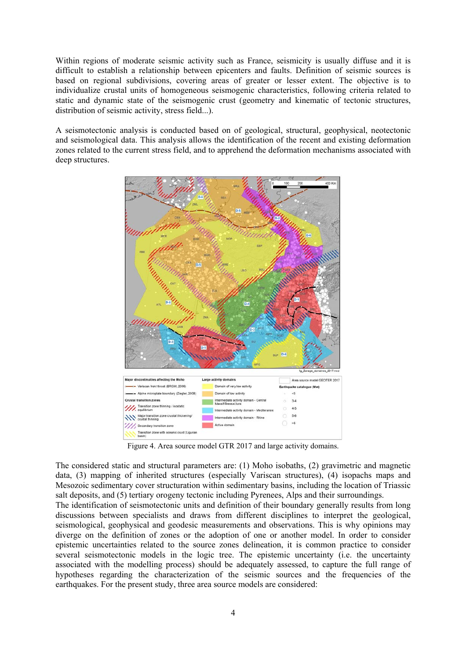Within regions of moderate seismic activity such as France, seismicity is usually diffuse and it is difficult to establish a relationship between epicenters and faults. Definition of seismic sources is based on regional subdivisions, covering areas of greater or lesser extent. The objective is to individualize crustal units of homogeneous seismogenic characteristics, following criteria related to static and dynamic state of the seismogenic crust (geometry and kinematic of tectonic structures, distribution of seismic activity, stress field...).

A seismotectonic analysis is conducted based on of geological, structural, geophysical, neotectonic and seismological data. This analysis allows the identification of the recent and existing deformation zones related to the current stress field, and to apprehend the deformation mechanisms associated with deep structures.



Figure 4. Area source model GTR 2017 and large activity domains.

The considered static and structural parameters are: (1) Moho isobaths, (2) gravimetric and magnetic data, (3) mapping of inherited structures (especially Variscan structures), (4) isopachs maps and Mesozoic sedimentary cover structuration within sedimentary basins, including the location of Triassic salt deposits, and (5) tertiary orogeny tectonic including Pyrenees, Alps and their surroundings.

The identification of seismotectonic units and definition of their boundary generally results from long discussions between specialists and draws from different disciplines to interpret the geological, seismological, geophysical and geodesic measurements and observations. This is why opinions may diverge on the definition of zones or the adoption of one or another model. In order to consider epistemic uncertainties related to the source zones delineation, it is common practice to consider several seismotectonic models in the logic tree. The epistemic uncertainty (i.e. the uncertainty associated with the modelling process) should be adequately assessed, to capture the full range of hypotheses regarding the characterization of the seismic sources and the frequencies of the earthquakes. For the present study, three area source models are considered: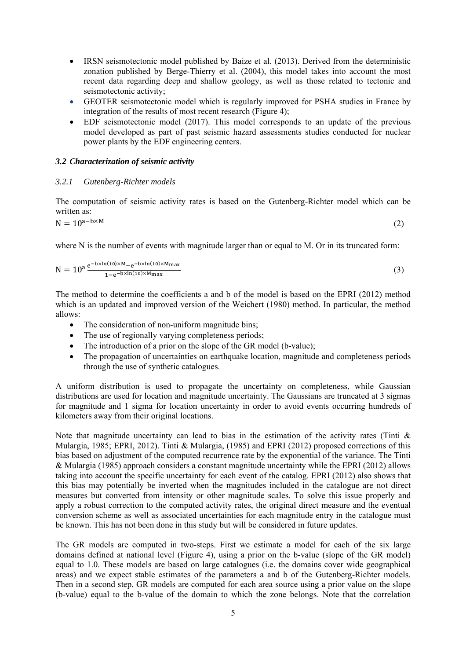- IRSN seismotectonic model published by Baize et al. (2013). Derived from the deterministic zonation published by Berge-Thierry et al. (2004), this model takes into account the most recent data regarding deep and shallow geology, as well as those related to tectonic and seismotectonic activity;
- GEOTER seismotectonic model which is regularly improved for PSHA studies in France by integration of the results of most recent research (Figure 4);
- EDF seismotectonic model (2017). This model corresponds to an update of the previous model developed as part of past seismic hazard assessments studies conducted for nuclear power plants by the EDF engineering centers.

### *3.2 Characterization of seismic activity*

#### *3.2.1 Gutenberg-Richter models*

The computation of seismic activity rates is based on the Gutenberg-Richter model which can be written as:

 $N = 10^{a-b \times M}$  (2)

where N is the number of events with magnitude larger than or equal to M. Or in its truncated form:

$$
N = 10^{a} \frac{e^{-bx\ln(10) \times M} - e^{-bx\ln(10) \times M_{\text{max}}}}{1 - e^{-bx\ln(10) \times M_{\text{max}}}}
$$
(3)

The method to determine the coefficients a and b of the model is based on the EPRI (2012) method which is an updated and improved version of the Weichert (1980) method. In particular, the method allows:

- The consideration of non-uniform magnitude bins;
- The use of regionally varying completeness periods;
- The introduction of a prior on the slope of the GR model (b-value);
- The propagation of uncertainties on earthquake location, magnitude and completeness periods through the use of synthetic catalogues.

A uniform distribution is used to propagate the uncertainty on completeness, while Gaussian distributions are used for location and magnitude uncertainty. The Gaussians are truncated at 3 sigmas for magnitude and 1 sigma for location uncertainty in order to avoid events occurring hundreds of kilometers away from their original locations.

Note that magnitude uncertainty can lead to bias in the estimation of the activity rates (Tinti & Mulargia, 1985; EPRI, 2012). Tinti & Mulargia, (1985) and EPRI (2012) proposed corrections of this bias based on adjustment of the computed recurrence rate by the exponential of the variance. The Tinti & Mulargia (1985) approach considers a constant magnitude uncertainty while the EPRI (2012) allows taking into account the specific uncertainty for each event of the catalog. EPRI (2012) also shows that this bias may potentially be inverted when the magnitudes included in the catalogue are not direct measures but converted from intensity or other magnitude scales. To solve this issue properly and apply a robust correction to the computed activity rates, the original direct measure and the eventual conversion scheme as well as associated uncertainties for each magnitude entry in the catalogue must be known. This has not been done in this study but will be considered in future updates.

The GR models are computed in two-steps. First we estimate a model for each of the six large domains defined at national level (Figure 4), using a prior on the b-value (slope of the GR model) equal to 1.0. These models are based on large catalogues (i.e. the domains cover wide geographical areas) and we expect stable estimates of the parameters a and b of the Gutenberg-Richter models. Then in a second step, GR models are computed for each area source using a prior value on the slope (b-value) equal to the b-value of the domain to which the zone belongs. Note that the correlation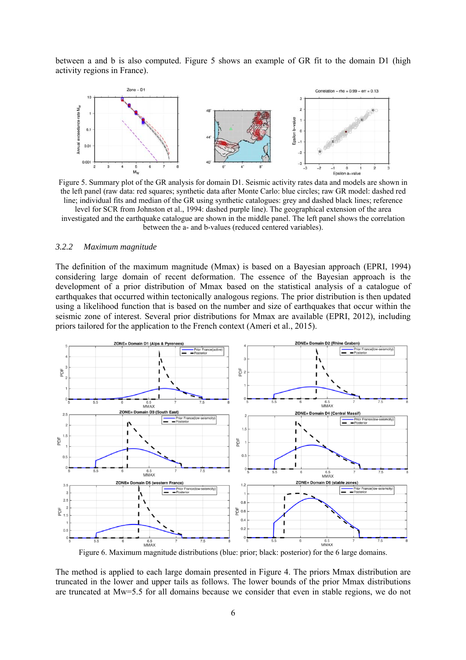between a and b is also computed. Figure 5 shows an example of GR fit to the domain D1 (high activity regions in France).



Figure 5. Summary plot of the GR analysis for domain D1. Seismic activity rates data and models are shown in the left panel (raw data: red squares; synthetic data after Monte Carlo: blue circles; raw GR model: dashed red line; individual fits and median of the GR using synthetic catalogues: grey and dashed black lines; reference level for SCR from Johnston et al., 1994: dashed purple line). The geographical extension of the area investigated and the earthquake catalogue are shown in the middle panel. The left panel shows the correlation between the a- and b-values (reduced centered variables).

#### *3.2.2 Maximum magnitude*

The definition of the maximum magnitude (Mmax) is based on a Bayesian approach (EPRI, 1994) considering large domain of recent deformation. The essence of the Bayesian approach is the development of a prior distribution of Mmax based on the statistical analysis of a catalogue of earthquakes that occurred within tectonically analogous regions. The prior distribution is then updated using a likelihood function that is based on the number and size of earthquakes that occur within the seismic zone of interest. Several prior distributions for Mmax are available (EPRI, 2012), including priors tailored for the application to the French context (Ameri et al., 2015).



Figure 6. Maximum magnitude distributions (blue: prior; black: posterior) for the 6 large domains.

The method is applied to each large domain presented in Figure 4. The priors Mmax distribution are truncated in the lower and upper tails as follows. The lower bounds of the prior Mmax distributions are truncated at Mw=5.5 for all domains because we consider that even in stable regions, we do not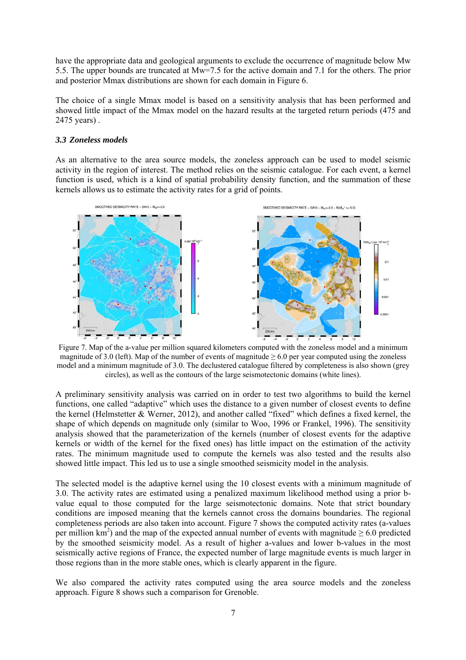have the appropriate data and geological arguments to exclude the occurrence of magnitude below Mw 5.5. The upper bounds are truncated at Mw=7.5 for the active domain and 7.1 for the others. The prior and posterior Mmax distributions are shown for each domain in Figure 6.

The choice of a single Mmax model is based on a sensitivity analysis that has been performed and showed little impact of the Mmax model on the hazard results at the targeted return periods (475 and 2475 years) .

# *3.3 Zoneless models*

As an alternative to the area source models, the zoneless approach can be used to model seismic activity in the region of interest. The method relies on the seismic catalogue. For each event, a kernel function is used, which is a kind of spatial probability density function, and the summation of these kernels allows us to estimate the activity rates for a grid of points.



Figure 7. Map of the a-value per million squared kilometers computed with the zoneless model and a minimum magnitude of 3.0 (left). Map of the number of events of magnitude  $\geq 6.0$  per year computed using the zoneless model and a minimum magnitude of 3.0. The declustered catalogue filtered by completeness is also shown (grey circles), as well as the contours of the large seismotectonic domains (white lines).

A preliminary sensitivity analysis was carried on in order to test two algorithms to build the kernel functions, one called "adaptive" which uses the distance to a given number of closest events to define the kernel (Helmstetter & Werner, 2012), and another called "fixed" which defines a fixed kernel, the shape of which depends on magnitude only (similar to Woo, 1996 or Frankel, 1996). The sensitivity analysis showed that the parameterization of the kernels (number of closest events for the adaptive kernels or width of the kernel for the fixed ones) has little impact on the estimation of the activity rates. The minimum magnitude used to compute the kernels was also tested and the results also showed little impact. This led us to use a single smoothed seismicity model in the analysis.

The selected model is the adaptive kernel using the 10 closest events with a minimum magnitude of 3.0. The activity rates are estimated using a penalized maximum likelihood method using a prior bvalue equal to those computed for the large seismotectonic domains. Note that strict boundary conditions are imposed meaning that the kernels cannot cross the domains boundaries. The regional completeness periods are also taken into account. Figure 7 shows the computed activity rates (a-values per million  $km^2$ ) and the map of the expected annual number of events with magnitude  $\geq 6.0$  predicted by the smoothed seismicity model. As a result of higher a-values and lower b-values in the most seismically active regions of France, the expected number of large magnitude events is much larger in those regions than in the more stable ones, which is clearly apparent in the figure.

We also compared the activity rates computed using the area source models and the zoneless approach. Figure 8 shows such a comparison for Grenoble.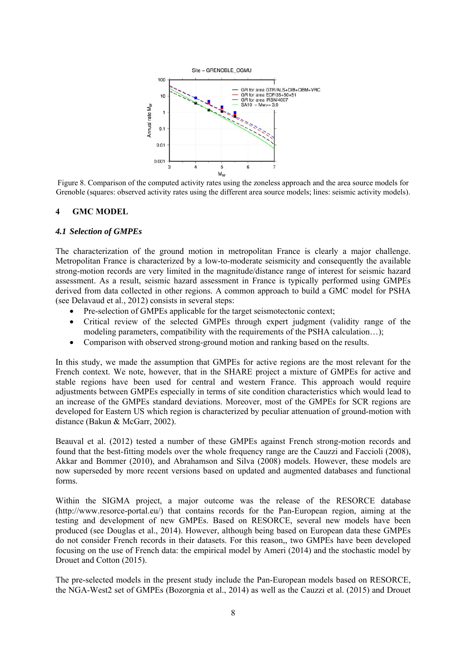

Figure 8. Comparison of the computed activity rates using the zoneless approach and the area source models for Grenoble (squares: observed activity rates using the different area source models; lines: seismic activity models).

# **4 GMC MODEL**

### *4.1 Selection of GMPEs*

The characterization of the ground motion in metropolitan France is clearly a major challenge. Metropolitan France is characterized by a low-to-moderate seismicity and consequently the available strong-motion records are very limited in the magnitude/distance range of interest for seismic hazard assessment. As a result, seismic hazard assessment in France is typically performed using GMPEs derived from data collected in other regions. A common approach to build a GMC model for PSHA (see Delavaud et al., 2012) consists in several steps:

- Pre-selection of GMPEs applicable for the target seismotectonic context;
- Critical review of the selected GMPEs through expert judgment (validity range of the modeling parameters, compatibility with the requirements of the PSHA calculation…);
- Comparison with observed strong-ground motion and ranking based on the results.

In this study, we made the assumption that GMPEs for active regions are the most relevant for the French context. We note, however, that in the SHARE project a mixture of GMPEs for active and stable regions have been used for central and western France. This approach would require adjustments between GMPEs especially in terms of site condition characteristics which would lead to an increase of the GMPEs standard deviations. Moreover, most of the GMPEs for SCR regions are developed for Eastern US which region is characterized by peculiar attenuation of ground-motion with distance (Bakun & McGarr, 2002).

Beauval et al. (2012) tested a number of these GMPEs against French strong-motion records and found that the best-fitting models over the whole frequency range are the Cauzzi and Faccioli (2008), Akkar and Bommer (2010), and Abrahamson and Silva (2008) models. However, these models are now superseded by more recent versions based on updated and augmented databases and functional forms.

Within the SIGMA project, a major outcome was the release of the RESORCE database (http://www.resorce-portal.eu/) that contains records for the Pan-European region, aiming at the testing and development of new GMPEs. Based on RESORCE, several new models have been produced (see Douglas et al., 2014). However, although being based on European data these GMPEs do not consider French records in their datasets. For this reason,, two GMPEs have been developed focusing on the use of French data: the empirical model by Ameri (2014) and the stochastic model by Drouet and Cotton (2015).

The pre-selected models in the present study include the Pan-European models based on RESORCE, the NGA-West2 set of GMPEs (Bozorgnia et al., 2014) as well as the Cauzzi et al. (2015) and Drouet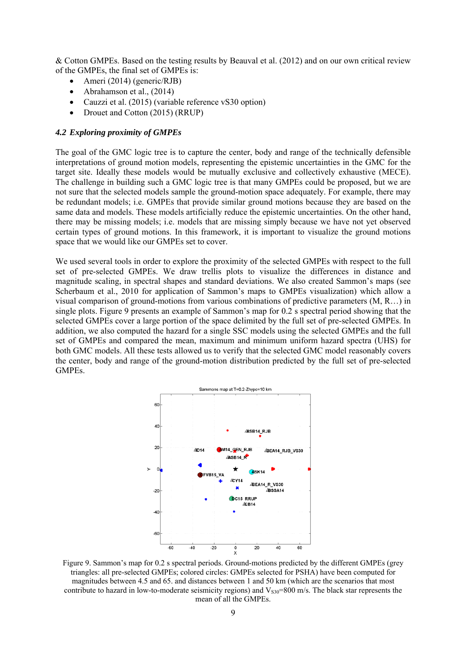& Cotton GMPEs. Based on the testing results by Beauval et al. (2012) and on our own critical review of the GMPEs, the final set of GMPEs is:

- Ameri (2014) (generic/RJB)
- Abrahamson et al., (2014)
- Cauzzi et al. (2015) (variable reference vS30 option)
- Drouet and Cotton (2015) (RRUP)

### *4.2 Exploring proximity of GMPEs*

The goal of the GMC logic tree is to capture the center, body and range of the technically defensible interpretations of ground motion models, representing the epistemic uncertainties in the GMC for the target site. Ideally these models would be mutually exclusive and collectively exhaustive (MECE). The challenge in building such a GMC logic tree is that many GMPEs could be proposed, but we are not sure that the selected models sample the ground-motion space adequately. For example, there may be redundant models; i.e. GMPEs that provide similar ground motions because they are based on the same data and models. These models artificially reduce the epistemic uncertainties. On the other hand, there may be missing models; i.e. models that are missing simply because we have not yet observed certain types of ground motions. In this framework, it is important to visualize the ground motions space that we would like our GMPEs set to cover.

We used several tools in order to explore the proximity of the selected GMPEs with respect to the full set of pre-selected GMPEs. We draw trellis plots to visualize the differences in distance and magnitude scaling, in spectral shapes and standard deviations. We also created Sammon's maps (see Scherbaum et al., 2010 for application of Sammon's maps to GMPEs visualization) which allow a visual comparison of ground-motions from various combinations of predictive parameters (M, R…) in single plots. Figure 9 presents an example of Sammon's map for 0.2 s spectral period showing that the selected GMPEs cover a large portion of the space delimited by the full set of pre-selected GMPEs. In addition, we also computed the hazard for a single SSC models using the selected GMPEs and the full set of GMPEs and compared the mean, maximum and minimum uniform hazard spectra (UHS) for both GMC models. All these tests allowed us to verify that the selected GMC model reasonably covers the center, body and range of the ground-motion distribution predicted by the full set of pre-selected GMPEs.



Figure 9. Sammon's map for 0.2 s spectral periods. Ground-motions predicted by the different GMPEs (grey triangles: all pre-selected GMPEs; colored circles: GMPEs selected for PSHA) have been computed for magnitudes between 4.5 and 65. and distances between 1 and 50 km (which are the scenarios that most contribute to hazard in low-to-moderate seismicity regions) and  $V_{\rm S30}=800$  m/s. The black star represents the mean of all the GMPEs.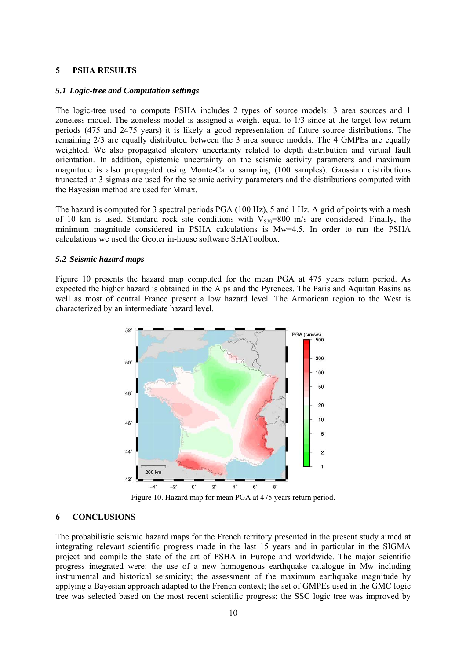# **5 PSHA RESULTS**

## *5.1 Logic-tree and Computation settings*

The logic-tree used to compute PSHA includes 2 types of source models: 3 area sources and 1 zoneless model. The zoneless model is assigned a weight equal to 1/3 since at the target low return periods (475 and 2475 years) it is likely a good representation of future source distributions. The remaining 2/3 are equally distributed between the 3 area source models. The 4 GMPEs are equally weighted. We also propagated aleatory uncertainty related to depth distribution and virtual fault orientation. In addition, epistemic uncertainty on the seismic activity parameters and maximum magnitude is also propagated using Monte-Carlo sampling (100 samples). Gaussian distributions truncated at 3 sigmas are used for the seismic activity parameters and the distributions computed with the Bayesian method are used for Mmax.

The hazard is computed for 3 spectral periods PGA (100 Hz), 5 and 1 Hz. A grid of points with a mesh of 10 km is used. Standard rock site conditions with  $V_{s30}=800$  m/s are considered. Finally, the minimum magnitude considered in PSHA calculations is Mw=4.5. In order to run the PSHA calculations we used the Geoter in-house software SHAToolbox.

#### *5.2 Seismic hazard maps*

Figure 10 presents the hazard map computed for the mean PGA at 475 years return period. As expected the higher hazard is obtained in the Alps and the Pyrenees. The Paris and Aquitan Basins as well as most of central France present a low hazard level. The Armorican region to the West is characterized by an intermediate hazard level.



Figure 10. Hazard map for mean PGA at 475 years return period.

## **6 CONCLUSIONS**

The probabilistic seismic hazard maps for the French territory presented in the present study aimed at integrating relevant scientific progress made in the last 15 years and in particular in the SIGMA project and compile the state of the art of PSHA in Europe and worldwide. The major scientific progress integrated were: the use of a new homogenous earthquake catalogue in Mw including instrumental and historical seismicity; the assessment of the maximum earthquake magnitude by applying a Bayesian approach adapted to the French context; the set of GMPEs used in the GMC logic tree was selected based on the most recent scientific progress; the SSC logic tree was improved by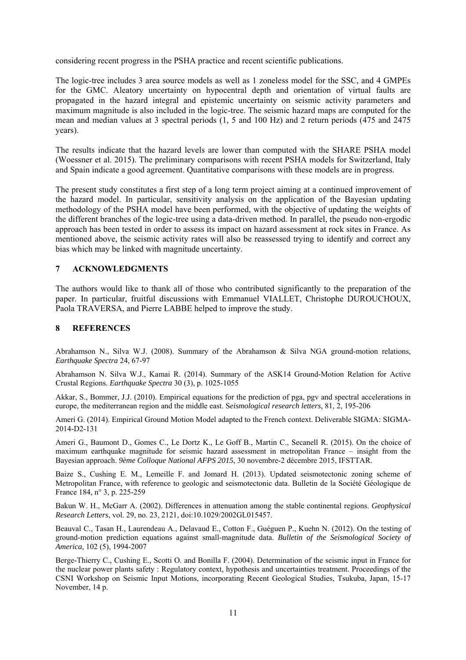considering recent progress in the PSHA practice and recent scientific publications.

The logic-tree includes 3 area source models as well as 1 zoneless model for the SSC, and 4 GMPEs for the GMC. Aleatory uncertainty on hypocentral depth and orientation of virtual faults are propagated in the hazard integral and epistemic uncertainty on seismic activity parameters and maximum magnitude is also included in the logic-tree. The seismic hazard maps are computed for the mean and median values at 3 spectral periods (1, 5 and 100 Hz) and 2 return periods (475 and 2475 years).

The results indicate that the hazard levels are lower than computed with the SHARE PSHA model (Woessner et al. 2015). The preliminary comparisons with recent PSHA models for Switzerland, Italy and Spain indicate a good agreement. Quantitative comparisons with these models are in progress.

The present study constitutes a first step of a long term project aiming at a continued improvement of the hazard model. In particular, sensitivity analysis on the application of the Bayesian updating methodology of the PSHA model have been performed, with the objective of updating the weights of the different branches of the logic-tree using a data-driven method. In parallel, the pseudo non-ergodic approach has been tested in order to assess its impact on hazard assessment at rock sites in France. As mentioned above, the seismic activity rates will also be reassessed trying to identify and correct any bias which may be linked with magnitude uncertainty.

# **7 ACKNOWLEDGMENTS**

The authors would like to thank all of those who contributed significantly to the preparation of the paper. In particular, fruitful discussions with Emmanuel VIALLET, Christophe DUROUCHOUX, Paola TRAVERSA, and Pierre LABBE helped to improve the study.

# **8 REFERENCES**

Abrahamson N., Silva W.J. (2008). Summary of the Abrahamson & Silva NGA ground-motion relations, *Earthquake Spectra* 24, 67-97

Abrahamson N. Silva W.J., Kamai R. (2014). Summary of the ASK14 Ground-Motion Relation for Active Crustal Regions. *Earthquake Spectra* 30 (3), p. 1025-1055

Akkar, S., Bommer, J.J. (2010). Empirical equations for the prediction of pga, pgv and spectral accelerations in europe, the mediterranean region and the middle east. S*eismological research letters*, 81, 2, 195-206

Ameri G. (2014). Empirical Ground Motion Model adapted to the French context. Deliverable SIGMA: SIGMA-2014-D2-131

Ameri G., Baumont D., Gomes C., Le Dortz K., Le Goff B., Martin C., Secanell R. (2015). On the choice of maximum earthquake magnitude for seismic hazard assessment in metropolitan France – insight from the Bayesian approach. *9ème Colloque National AFPS 2015*, 30 novembre-2 décembre 2015, IFSTTAR.

Baize S., Cushing E. M., Lemeille F. and Jomard H. (2013). Updated seismotectonic zoning scheme of Metropolitan France, with reference to geologic and seismotectonic data. Bulletin de la Société Géologique de France 184, n° 3, p. 225-259

Bakun W. H., McGarr A. (2002). Differences in attenuation among the stable continental regions. *Geophysical Research Letters*, vol. 29, no. 23, 2121, doi:10.1029/2002GL015457.

Beauval C., Tasan H., Laurendeau A., Delavaud E., Cotton F., Guéguen P., Kuehn N. (2012). On the testing of ground-motion prediction equations against small-magnitude data. *Bulletin of the Seismological Society of America*, 102 (5), 1994-2007

Berge-Thierry C., Cushing E., Scotti O. and Bonilla F. (2004). Determination of the seismic input in France for the nuclear power plants safety : Regulatory context, hypothesis and uncertainties treatment. Proceedings of the CSNI Workshop on Seismic Input Motions, incorporating Recent Geological Studies, Tsukuba, Japan, 15-17 November, 14 p.